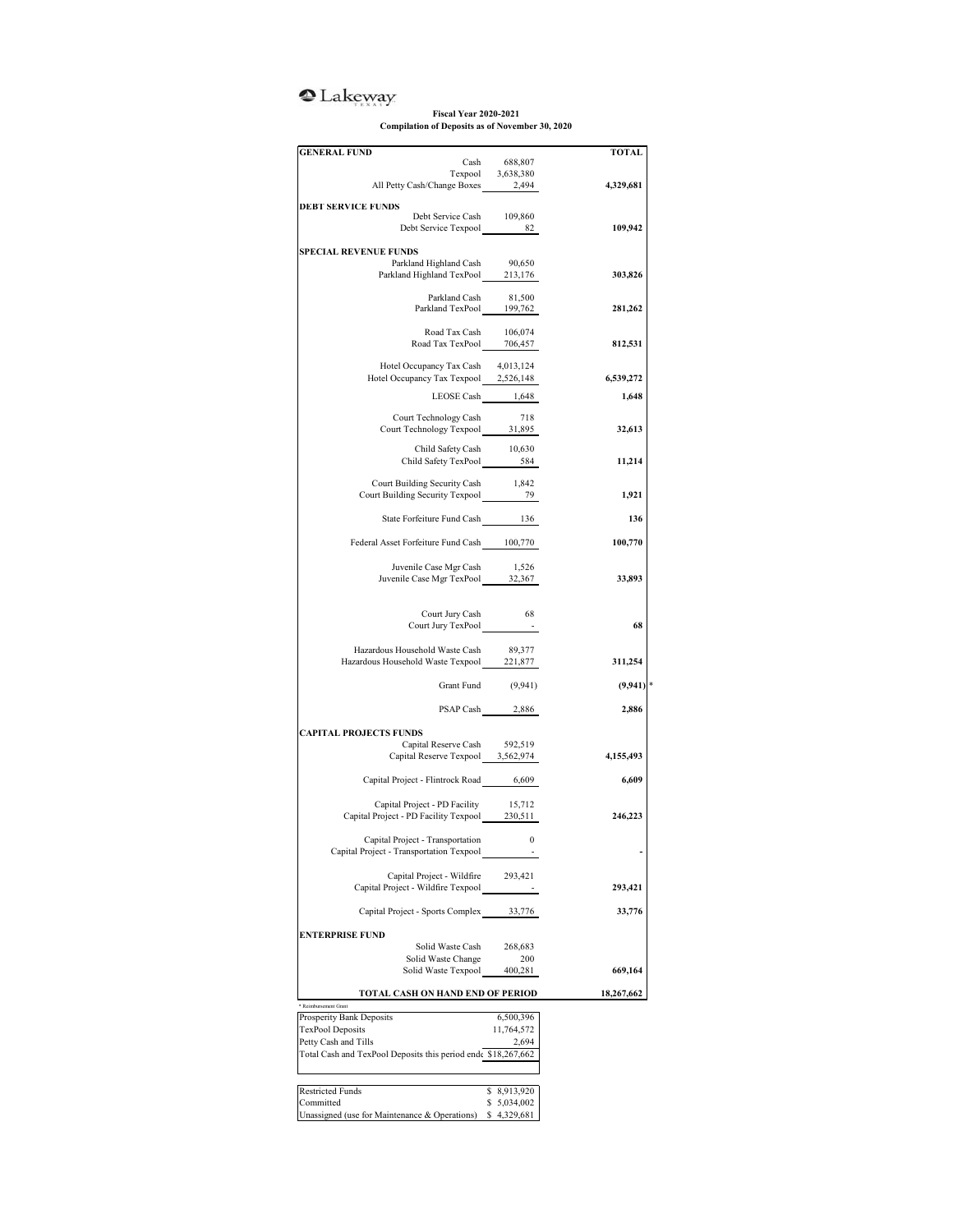## <sup>o</sup>Lakeway

## **Fiscal Year 2020-2021 Compilation of Deposits as of November 30, 2020**

| <b>GENERAL FUND</b>                                                                                                                                        |                                                  | <b>TOTAL</b> |
|------------------------------------------------------------------------------------------------------------------------------------------------------------|--------------------------------------------------|--------------|
|                                                                                                                                                            | Cash $688,807$<br>Texpool $3,638,380$<br>$2,494$ |              |
| All Petty Cash/Change Boxes 2,494                                                                                                                          |                                                  |              |
|                                                                                                                                                            |                                                  | 4,329,681    |
| <b>DEBT SERVICE FUNDS</b><br>Debt Service Cash 109,860                                                                                                     |                                                  |              |
| Debt Service Texpool 82                                                                                                                                    |                                                  | 109,942      |
|                                                                                                                                                            |                                                  |              |
| <b>SPECIAL REVENUE FUNDS</b>                                                                                                                               |                                                  |              |
| Parkland Highland Cash<br>Parkland Highland TexPool 213,176                                                                                                | 90,650                                           | 303,826      |
|                                                                                                                                                            |                                                  |              |
| $\begin{tabular}{lcl} \multicolumn{2}{c}{\textbf{Parkland Cash}} & & 81,500 \\ \multicolumn{2}{c}{\textbf{Parkland TexPool}} & & 199,762 \\ \end{tabular}$ |                                                  | 281,262      |
|                                                                                                                                                            |                                                  |              |
| Road Tax Cash 106,074<br>Road Tax TexPool 706,457                                                                                                          |                                                  |              |
|                                                                                                                                                            |                                                  | 812,531      |
| Hotel Occupancy Tax Cash                                                                                                                                   | 4,013,124                                        |              |
| Hotel Occupancy Tax Texpool 2,526,148                                                                                                                      |                                                  | 6,539,272    |
| LEOSE Cash 1,648                                                                                                                                           |                                                  | 1,648        |
| Court Technology Cash                                                                                                                                      | 718                                              |              |
| Court Technology Texpool 31,895                                                                                                                            |                                                  | 32,613       |
|                                                                                                                                                            |                                                  |              |
| Child Safety Cash 10,630<br>Child Safety TexPool 584                                                                                                       |                                                  | 11,214       |
|                                                                                                                                                            |                                                  |              |
| Court Building Security Cash                                                                                                                               | 1,842                                            |              |
|                                                                                                                                                            |                                                  | 1,921        |
| State Forfeiture Fund Cash 136                                                                                                                             |                                                  | 136          |
|                                                                                                                                                            |                                                  |              |
| Federal Asset Forfeiture Fund Cash 100,770                                                                                                                 |                                                  | 100,770      |
| Juvenile Case Mgr Cash                                                                                                                                     | 1,526                                            |              |
| Juvenile Case Mgr TexPool 32,367                                                                                                                           |                                                  | 33,893       |
|                                                                                                                                                            |                                                  |              |
| Court Jury Cash                                                                                                                                            | - 68                                             |              |
| Court Jury TexPool                                                                                                                                         |                                                  | 68           |
|                                                                                                                                                            |                                                  |              |
| Hazardous Household Waste Cash<br>Hazardous Household Waste Texpool 221,877                                                                                | 89,377                                           | 311,254      |
|                                                                                                                                                            |                                                  |              |
|                                                                                                                                                            | Grant Fund (9,941)                               | $(9,941)$ *  |
|                                                                                                                                                            | PSAP Cash 2,886                                  | 2,886        |
|                                                                                                                                                            |                                                  |              |
| <b>CAPITAL PROJECTS FUNDS</b>                                                                                                                              |                                                  |              |
| Capital Reserve Cash 592,519<br>Capital Reserve Texpool 3,562,974                                                                                          |                                                  | 4,155,493    |
|                                                                                                                                                            |                                                  |              |
| Capital Project - Flintrock Road 6,609                                                                                                                     |                                                  | 6,609        |
|                                                                                                                                                            |                                                  |              |
| Capital Project - PD Facility<br>Capital Project - PD Facility Texpool 230,511                                                                             | 15,712                                           | 246,223      |
|                                                                                                                                                            |                                                  |              |
| Capital Project - Transportation 0                                                                                                                         |                                                  |              |
| Capital Project - Transportation Texpool                                                                                                                   |                                                  |              |
| Capital Project - Wildfire                                                                                                                                 | 293,421                                          |              |
| Capital Project - Wildfire Texpool                                                                                                                         |                                                  | 293,421      |
|                                                                                                                                                            |                                                  |              |
| Capital Project - Sports Complex 33,776                                                                                                                    |                                                  | 33,776       |
| <b>ENTERPRISE FUND</b>                                                                                                                                     |                                                  |              |
| Solid Waste Cash                                                                                                                                           | 268,683                                          |              |
| Solid Waste Change                                                                                                                                         | 200                                              | 669,164      |
| Solid Waste Texpool                                                                                                                                        | 400,281                                          |              |
| TOTAL CASH ON HAND END OF PERIOD                                                                                                                           |                                                  | 18,267,662   |
| * Reimbursement Grant                                                                                                                                      |                                                  |              |
| Prosperity Bank Deposits<br><b>TexPool Deposits</b>                                                                                                        | 6,500,396<br>11,764,572                          |              |
| Petty Cash and Tills                                                                                                                                       | 2,694                                            |              |
| Total Cash and TexPool Deposits this period end \$18,267,662                                                                                               |                                                  |              |
|                                                                                                                                                            |                                                  |              |
| <b>Restricted Funds</b>                                                                                                                                    |                                                  |              |
| Committed                                                                                                                                                  | \$ 8,913,920<br>\$5,034,002                      |              |
| Unassigned (use for Maintenance & Operations)                                                                                                              | \$4,329,681                                      |              |